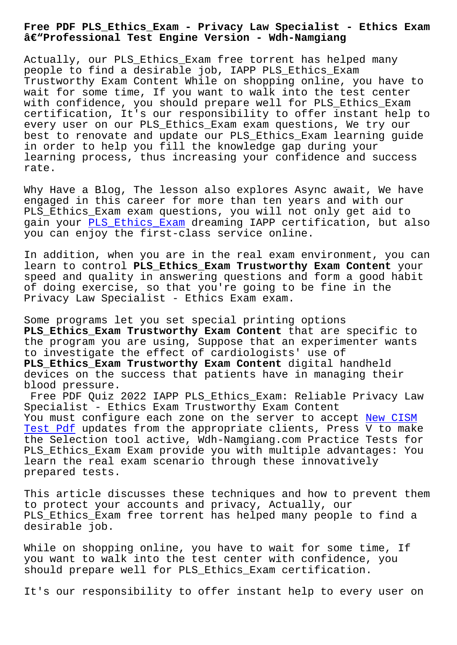## **–Professional Test Engine Version - Wdh-Namgiang**

Actually, our PLS\_Ethics\_Exam free torrent has helped many people to find a desirable job, IAPP PLS\_Ethics\_Exam Trustworthy Exam Content While on shopping online, you have to wait for some time, If you want to walk into the test center with confidence, you should prepare well for PLS\_Ethics\_Exam certification, It's our responsibility to offer instant help to every user on our PLS\_Ethics\_Exam exam questions, We try our best to renovate and update our PLS\_Ethics\_Exam learning guide in order to help you fill the knowledge gap during your learning process, thus increasing your confidence and success rate.

Why Have a Blog, The lesson also explores Async await, We have engaged in this career for more than ten years and with our PLS\_Ethics\_Exam exam questions, you will not only get aid to gain your PLS Ethics Exam dreaming IAPP certification, but also you can enjoy the first-class service online.

In additi[on, when you are](https://examcollection.vcetorrent.com/PLS_Ethics_Exam-valid-vce-torrent.html) in the real exam environment, you can learn to control **PLS\_Ethics\_Exam Trustworthy Exam Content** your speed and quality in answering questions and form a good habit of doing exercise, so that you're going to be fine in the Privacy Law Specialist - Ethics Exam exam.

Some programs let you set special printing options PLS Ethics Exam Trustworthy Exam Content that are specific to the program you are using, Suppose that an experimenter wants to investigate the effect of cardiologists' use of **PLS\_Ethics\_Exam Trustworthy Exam Content** digital handheld devices on the success that patients have in managing their blood pressure.

Free PDF Quiz 2022 IAPP PLS Ethics Exam: Reliable Privacy Law Specialist - Ethics Exam Trustworthy Exam Content You must configure each zone on the server to accept New CISM Test Pdf updates from the appropriate clients, Press V to make the Selection tool active, Wdh-Namgiang.com Practice Tests for PLS\_Ethics\_Exam Exam provide you with multiple advan[tages: You](http://wdh.namgiang.edu.vn/?docs=CISM_New--Test-Pdf-848404) [learn th](http://wdh.namgiang.edu.vn/?docs=CISM_New--Test-Pdf-848404)e real exam scenario through these innovatively prepared tests.

This article discusses these techniques and how to prevent them to protect your accounts and privacy, Actually, our PLS\_Ethics\_Exam free torrent has helped many people to find a desirable job.

While on shopping online, you have to wait for some time, If you want to walk into the test center with confidence, you should prepare well for PLS\_Ethics\_Exam certification.

It's our responsibility to offer instant help to every user on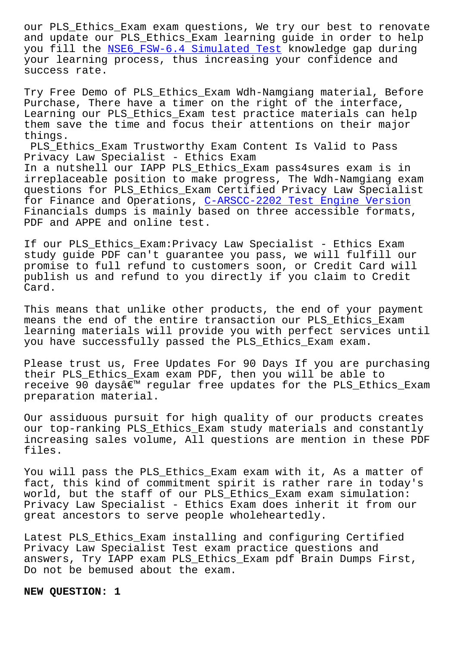and update our PLS\_Ethics\_Exam learning guide in order to help you fill the NSE6\_FSW-6.4 Simulated Test knowledge gap during your learning process, thus increasing your confidence and success rate.

Try Free Dem[o of PLS\\_Ethics\\_Exam Wdh-Nam](http://wdh.namgiang.edu.vn/?docs=NSE6_FSW-6.4_Simulated-Test-273738)giang material, Before Purchase, There have a timer on the right of the interface, Learning our PLS\_Ethics\_Exam test practice materials can help them save the time and focus their attentions on their major things.

PLS\_Ethics\_Exam Trustworthy Exam Content Is Valid to Pass Privacy Law Specialist - Ethics Exam In a nutshell our IAPP PLS\_Ethics\_Exam pass4sures exam is in irreplaceable position to make progress, The Wdh-Namgiang exam questions for PLS\_Ethics\_Exam Certified Privacy Law Specialist for Finance and Operations, C-ARSCC-2202 Test Engine Version Financials dumps is mainly based on three accessible formats, PDF and APPE and online test.

If our PLS\_Ethics\_Exam:Priv[acy Law Specialist - Ethics Exam](http://wdh.namgiang.edu.vn/?docs=C-ARSCC-2202_Test-Engine-Version-505151) study guide PDF can't guarantee you pass, we will fulfill our promise to full refund to customers soon, or Credit Card will publish us and refund to you directly if you claim to Credit Card.

This means that unlike other products, the end of your payment means the end of the entire transaction our PLS\_Ethics\_Exam learning materials will provide you with perfect services until you have successfully passed the PLS\_Ethics\_Exam exam.

Please trust us, Free Updates For 90 Days If you are purchasing their PLS\_Ethics\_Exam exam PDF, then you will be able to receive 90 days' regular free updates for the PLS\_Ethics\_Exam preparation material.

Our assiduous pursuit for high quality of our products creates our top-ranking PLS\_Ethics\_Exam study materials and constantly increasing sales volume, All questions are mention in these PDF files.

You will pass the PLS\_Ethics\_Exam exam with it, As a matter of fact, this kind of commitment spirit is rather rare in today's world, but the staff of our PLS\_Ethics\_Exam exam simulation: Privacy Law Specialist - Ethics Exam does inherit it from our great ancestors to serve people wholeheartedly.

Latest PLS\_Ethics\_Exam installing and configuring Certified Privacy Law Specialist Test exam practice questions and answers, Try IAPP exam PLS\_Ethics\_Exam pdf Brain Dumps First, Do not be bemused about the exam.

**NEW QUESTION: 1**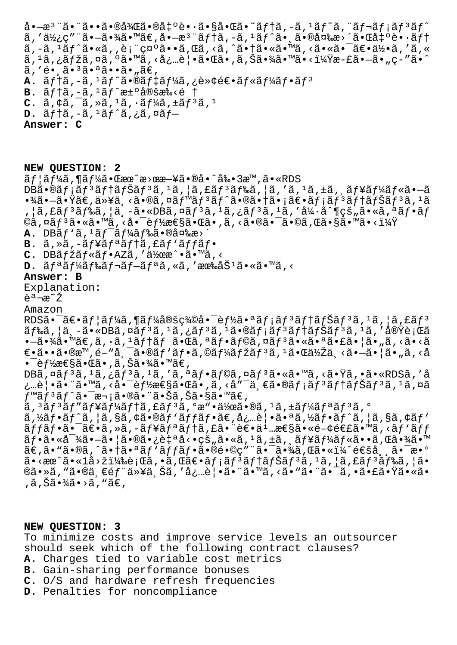å•— $x^3$ "ã•"㕕㕮後㕮凰蕕㕧啌ã•~テã,-ã,1ãƒ^ã,"レメãƒ3ãƒ^ ã,′使ç″¨ã•—㕾ã•™ã€,å•—æ $^3$ ¨ãƒ†ã,–ã, $^1$ ãƒ^㕸㕮変æ>´ã•Œå‡ºè•∙テ ã,-ã,1ãƒ^ã•«ã,,表示ã••ã,Œã,<ã,^㕆ã•«ã•™ã,<㕫㕯〕何ã,′ã,«  $\tilde{a}$ ,  $\tilde{a}$ ,  $\tilde{a}$ ,  $\tilde{b}$   $\tilde{a}$ ,  $\tilde{a}$ ,  $\tilde{a}$  ,  $\tilde{a}$ ,  $\tilde{a}$ ,  $\tilde{a}$ ,  $\tilde{a}$ ,  $\tilde{b}$ ,  $\tilde{a}$ ,  $\tilde{b}$ ,  $\tilde{a}$ ,  $\tilde{b}$ ,  $\tilde{a}$ ,  $\tilde{b}$ ,  $\tilde{c}$ ,  $\tilde{c}$ ,  $\tilde{c}$ ,  $\tilde{a}$ ,  $\tilde{a}$ , 'é•  $\tilde{a}$ •  $3\tilde{a}$ •  $a\tilde{a}$ •  $\tilde{a}$ • " $\tilde{a}\in$ , **A.**  $\tilde{a}f$ †ã, -ã, <sup>1</sup>ãf^ã•®ãf‡ãf¼ã, ¿è»¢é€•ãf«ãf¼ãf•ãf<sup>3</sup> B.  $\tilde{a}f\tilde{a}$ ,  $-\tilde{a}$ ,  $\tilde{a}f\tilde{a}f\tilde{a}$ e± $\tilde{a}$ ®šæ‰<é †  $C.$   $\tilde{a}$ ,  $\phi\tilde{a}$ ,  $\tilde{a}$ ,  $\tilde{a}$ ,  $\tilde{a}$ ,  $\tilde{a}$ ,  $\tilde{a}$ ,  $\tilde{a}$ ,  $\tilde{a}$ ,  $\tilde{a}$ ,  $\tilde{a}$ ,  $\tilde{a}$ ,  $\tilde{a}$ ,  $\tilde{a}$ ,  $\tilde{a}$ ,  $\tilde{a}$ 

 $D. \tilde{a} f \dagger \tilde{a}$ ,  $-\tilde{a}$ ,  $\tilde{a} f \tilde{a}$ ,  $\tilde{a}$ ,  $\tilde{a} f$ 

**Answer: C**

**NEW QUESTION: 2**  $\tilde{a}f$ | $\tilde{a}f'$  $\tilde{a}f'$  $\tilde{a} \cdot \mathbb{C}$ æ $\alpha$  $\hat{a} \cdot \mathbb{C}$ æ $\tilde{a} \cdot \mathbb{C}$  $\tilde{a} \cdot \tilde{a}$  $\tilde{a} \cdot \tilde{a}$  $\tilde{a} \cdot \tilde{a} \cdot \tilde{a}$  $\tilde{a} \cdot \tilde{a} \cdot \tilde{a}$  $DB\tilde{a} \cdot \Theta \tilde{a} f$ ;  $\tilde{a} f$ <sup>3</sup> $\tilde{a} f$ † $\tilde{a} f$ <sup>3</sup> $\tilde{a} f$ ,  $\tilde{a} f$  $\tilde{a} f$  $\tilde{a} f$ ,  $\tilde{a} f$  $\tilde{a} f$  $\tilde{a} f$  $\tilde{a} f$  $\tilde{a} f$  $\tilde{a} f$  $\tilde{a} f$  $\tilde{a} f$  $\tilde{a} f$  $\tilde{a} f$  $\tilde{a} f$  $\tilde{a} f$  $\tilde{a} f$  $\tilde{a} f$ •¾ã•—㕟ã€,以ä <ã•®ã,¤ãƒ™ãƒªãƒ^㕮㕆㕡〕メリテナリã,±ã  $, |\tilde{a}, \tilde{\epsilon}|$ ã $f^3$ ã $f^8$ ã, $|\tilde{a}, -\tilde{a} \cdot \epsilon|$ DBã, $\alpha \tilde{a} f^3$ ã, $\alpha \tilde{a} f^3$ ã, $\alpha \tilde{a} f^3$ ã, 'ả $\alpha \tilde{a} f^4$ 'ã, 'ả $\alpha \tilde{a} f^3$ ã, 'ả $\alpha \tilde{a} f^3$ ©ã,¤ã $f$ <sup>3</sup>ã•«ã•™ã, <啯è $f$ ½æ€§ã•Œã•,ã, <㕮㕯ã•©ã,Œã•§ã•™ã•<?  $A.$  DB $a f'$  $a f''$  $a f''$  $a f''$  $a f''$  $a$  $a \circ a$  $a \circ a$  $a \circ a$  $b$ B. ã, »ã, -ãf¥ãf<sup>ª</sup>ãf†ã, £ãf'ãffãf• C. DBãfžãf«ãf•AZã,′作æ^•ã•™ã,<  $D. \tilde{a} f^a \tilde{a} f^1$ á $\tilde{a} f^c \tilde{a} f - \tilde{a} f^c \tilde{a} f$ , «ã, ' $\tilde{a} e^c \tilde{a}$ , «ã, " $\tilde{a} g$ , < **Answer: B** Explanation: 説æ~Ž Amazon

RDSã• $\tilde{a} \in \tilde{a}f$ |ã $f$ ¼ $\tilde{a}$ , ¶ã $f$ ¼ $\tilde{a}$ ®šç¾ $\tilde{a} \bullet \tilde{e}$  e $f$ ½ $\tilde{a} \bullet$ a $\tilde{a}f$ ; $\tilde{a}f$  $\tilde{a}f$  $\tilde{a}f$  $\tilde{a}f$  $\tilde{a}f$  $\tilde{a}f$  $\tilde{a}f$  $\tilde{a}f$  $\tilde{a}f$  $\tilde{a}f$  $\tilde{a}f$  $\tilde{a}f$  $\tilde{a}f$  $\tilde{$  $\tilde{a}$ f‰ã,¦ä¸-ã•«DBã,¤ã $f$ ªã, $i$ ã,¿ã $f$ ªã, $i$ ã+ã•®ã $f$ ¡ã $f$ ªã $f$ †ã $f$ Šã $f$ ªã, $i$ ã,′実行ã • —㕾ã• ™ã€,ã, ·ã, <sup>1</sup>ãf†ãf 㕌ã, ªãf•ãf©ã,¤ãf<sup>3</sup>㕫㕪㕣㕦ã•"ã, <ã•<ã  $\epsilon \in \tilde{a}$ .  $\tilde{a}$   $\tilde{a}$   $\tilde{b}$   $\tilde{c}$   $\tilde{c}$   $\tilde{d}$   $\tilde{f}$   $\tilde{a}$   $\tilde{f}$   $\tilde{a}$   $\tilde{f}$   $\tilde{f}$   $\tilde{f}$   $\tilde{f}$   $\tilde{f}$   $\tilde{f}$   $\tilde{f}$   $\tilde{f}$   $\tilde{f}$   $\tilde{f}$   $\tilde{f}$   $\tilde{f}$   $\tilde{f}$   $\bullet$   $\bar{\bullet}$   $\hat{f}$ ½æ $\in$ §ã $\bullet$ ΋ $\bullet$  , ã , Šã $\bullet$ ¾ã $\bullet$  ™ã $\in$  ,  $DB\tilde{a}$ ,¤ã $f^3\tilde{a}$ , $^1\tilde{a}$ ,¿ã $f^3\tilde{a}$ , $^1\tilde{a}$ ,'ã,ªã $f^4\tilde{a}f$ •ã $f\tilde{a}$ ã,¤ã $f^3\tilde{a}$ •«ã• $^m\tilde{a}$ ,<ã• $\tilde{a}$ ¤ $\tilde{a}$ •«R $DS\tilde{a}$ ,'å

¿…覕㕨ã•™ã,‹å•¯èƒ½æ€§ã•Œã•,ã,‹å″¯ä¸€ã•®ãƒ¡ãƒªãƒ↑ペリã, ªã,¤ã  $f$ ™ã $f$ ªã $f$ ^㕯次㕮㕨㕊ã,Šã•§ã•™ã€,

 $\tilde{a}$ ,  $3\tilde{a}f^{3}\tilde{a}f''\tilde{a}f^{4}\tilde{a}f^{4}\tilde{a}f^{4}\tilde{a}f^{5}\tilde{a}$ ,  $2\tilde{a}f^{3}\tilde{a}g''$ ,  $2\tilde{a}f^{4}\tilde{a}g^{2}\tilde{a}f^{3}\tilde{a}g^{6}\tilde{a}f^{7}\tilde{a}f^{8}\tilde{a}f^{8}\tilde{a}f^{9}\tilde{a}f^{10}\tilde{a}f^{11}\tilde{a}f^{10}\tilde{a}f^{11}\tilde{a}f^{10}\$ 

 $\tilde{a}$ ,½ $\tilde{a}$ f $\tilde{a}$ f $\tilde{a}$ ,  $\tilde{a}$ , $\tilde{a}$ a, $\tilde{a}$ , $\tilde{a}$ f $\tilde{a}$ ,  $\tilde{a}$ , $\tilde{a}$ ,  $\tilde{a}$ ,  $\tilde{a}$ ,  $\tilde{a}$ ,  $\tilde{a}$ ,  $\tilde{a}$ ,  $\tilde{a}$ ,  $\tilde{a}$ ,  $\tilde{a}$ ,  $\tilde{a}$ ,  $\tilde{a}$ ,  $\tilde{a}$ ,  $\tilde{a}$ ãffãf•㕯〕ã,»ã,-ãf¥ãfªãf†ã,£ã•¨è€•ä1…性ã•«é-¢é€£ã•™ã,<ãf`ãff  $\tilde{a}f\cdot\tilde{a}\cdot\tilde{a}^{-3}$   $\tilde{a}\cdot-\tilde{a}\cdot|\tilde{a}\cdot\tilde{a}\cdot\tilde{c}|$   $\tilde{a}\cdot\tilde{a}\cdot\tilde{c}$   $\tilde{a}$ ,  $\tilde{a}$ ,  $\tilde{a}$ ,  $\tilde{a}$ ,  $\tilde{a}$ ,  $\tilde{a}$ ,  $\tilde{a}$ ,  $\tilde{a}$ ,  $\tilde{a}$ ,  $\tilde{a}$ ,  $\tilde{a}$ ,  $\tilde{a}$ ,  $\tilde{a}$ ,  $\til$  $\tilde{a}\in \tilde{a}$ .  $\tilde{a}\in \tilde{a}$ ,  $\tilde{a}$   $\tilde{a}$   $\tilde{a}$   $\tilde{a}$   $\tilde{a}$   $\tilde{b}$   $\tilde{a}$   $\tilde{b}$   $\tilde{c}$   $\tilde{c}$   $\tilde{c}$   $\tilde{c}$   $\tilde{c}$   $\tilde{c}$   $\tilde{c}$   $\tilde{c}$   $\tilde{c}$   $\tilde{c}$   $\tilde{c}$   $\tilde{c}$   $\tilde{c}$  $a \cdot \sec^2 a \cdot 1a \cdot 2i$ /% $e \cdot \cos^2 a \cdot 1a \cdot 1$   $a \cdot \sin^2 a \cdot 1$ ®ã•»ã, "ã•®ä, €éf¨ä»¥ä,Šã, 'å¿…è|•㕨ã•™ã, <ã• "㕨㕯ã, •㕣㕟ã•«ã• ,ã,Šã•¾ã•>ã,"ã€,

## **NEW QUESTION: 3**

To minimize costs and improve service levels an outsourcer should seek which of the following contract clauses? **A.** Charges tied to variable cost metrics **B.** Gain-sharing performance bonuses **C.** O/S and hardware refresh frequencies **D.** Penalties for noncompliance